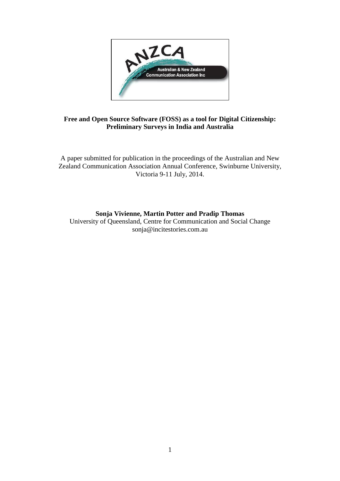

# **Free and Open Source Software (FOSS) as a tool for Digital Citizenship: Preliminary Surveys in India and Australia**

A paper submitted for publication in the proceedings of the Australian and New Zealand Communication Association Annual Conference, Swinburne University, Victoria 9-11 July, 2014.

# **Sonja Vivienne, Martin Potter and Pradip Thomas**

University of Queensland, Centre for Communication and Social Change sonja@incitestories.com.au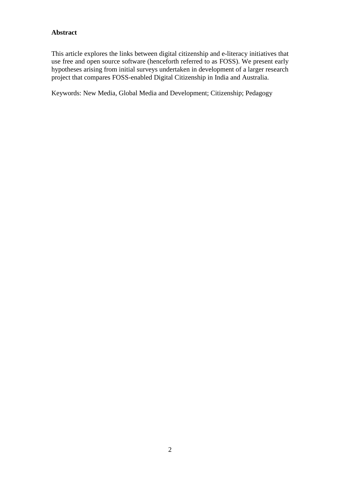# **Abstract**

This article explores the links between digital citizenship and e-literacy initiatives that use free and open source software (henceforth referred to as FOSS). We present early hypotheses arising from initial surveys undertaken in development of a larger research project that compares FOSS-enabled Digital Citizenship in India and Australia.

Keywords: New Media, Global Media and Development; Citizenship; Pedagogy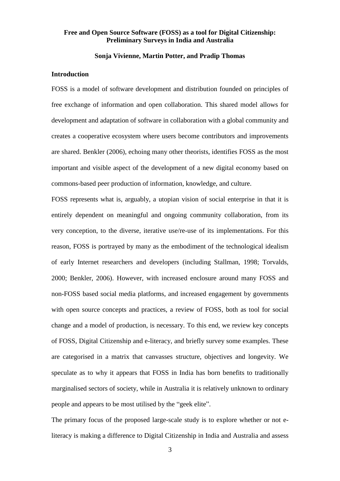# **Free and Open Source Software (FOSS) as a tool for Digital Citizenship: Preliminary Surveys in India and Australia**

### **Sonja Vivienne, Martin Potter, and Pradip Thomas**

### **Introduction**

FOSS is a model of software development and distribution founded on principles of free exchange of information and open collaboration. This shared model allows for development and adaptation of software in collaboration with a global community and creates a cooperative ecosystem where users become contributors and improvements are shared. Benkler (2006), echoing many other theorists, identifies FOSS as the most important and visible aspect of the development of a new digital economy based on commons-based peer production of information, knowledge, and culture.

FOSS represents what is, arguably, a utopian vision of social enterprise in that it is entirely dependent on meaningful and ongoing community collaboration, from its very conception, to the diverse, iterative use/re-use of its implementations. For this reason, FOSS is portrayed by many as the embodiment of the technological idealism of early Internet researchers and developers (including Stallman, 1998; Torvalds, 2000; Benkler, 2006). However, with increased enclosure around many FOSS and non-FOSS based social media platforms, and increased engagement by governments with open source concepts and practices, a review of FOSS, both as tool for social change and a model of production, is necessary. To this end, we review key concepts of FOSS, Digital Citizenship and e-literacy, and briefly survey some examples. These are categorised in a matrix that canvasses structure, objectives and longevity. We speculate as to why it appears that FOSS in India has born benefits to traditionally marginalised sectors of society, while in Australia it is relatively unknown to ordinary people and appears to be most utilised by the "geek elite".

The primary focus of the proposed large-scale study is to explore whether or not eliteracy is making a difference to Digital Citizenship in India and Australia and assess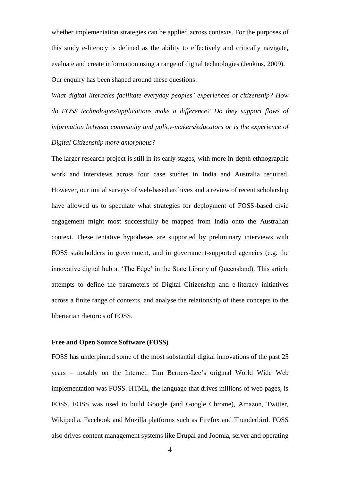whether implementation strategies can be applied across contexts. For the purposes of this study e-literacy is defined as the ability to effectively and critically navigate, evaluate and create information using a range of digital technologies (Jenkins, 2009). Our enquiry has been shaped around these questions:

*What digital literacies facilitate everyday peoples' experiences of citizenship? How do FOSS technologies/applications make a difference? Do they support flows of information between community and policy-makers/educators or is the experience of Digital Citizenship more amorphous?* 

The larger research project is still in its early stages, with more in-depth ethnographic work and interviews across four case studies in India and Australia required. However, our initial surveys of web-based archives and a review of recent scholarship have allowed us to speculate what strategies for deployment of FOSS-based civic engagement might most successfully be mapped from India onto the Australian context. These tentative hypotheses are supported by preliminary interviews with FOSS stakeholders in government, and in government-supported agencies (e.g. the innovative digital hub at 'The Edge' in the State Library of Queensland). This article attempts to define the parameters of Digital Citizenship and e-literacy initiatives across a finite range of contexts, and analyse the relationship of these concepts to the libertarian rhetorics of FOSS.

## **Free and Open Source Software (FOSS)**

FOSS has underpinned some of the most substantial digital innovations of the past 25 years – notably on the Internet. Tim Berners-Lee's original World Wide Web implementation was FOSS. HTML, the language that drives millions of web pages, is FOSS. FOSS was used to build Google (and Google Chrome), Amazon, Twitter, Wikipedia, Facebook and Mozilla platforms such as Firefox and Thunderbird. FOSS also drives content management systems like Drupal and Joomla, server and operating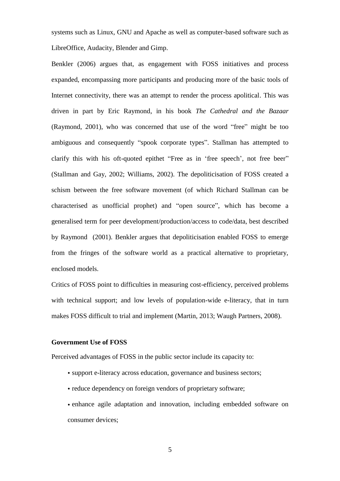systems such as Linux, GNU and Apache as well as computer-based software such as LibreOffice, Audacity, Blender and Gimp.

Benkler (2006) argues that, as engagement with FOSS initiatives and process expanded, encompassing more participants and producing more of the basic tools of Internet connectivity, there was an attempt to render the process apolitical. This was driven in part by Eric Raymond, in his book *The Cathedral and the Bazaar*  (Raymond, 2001), who was concerned that use of the word "free" might be too ambiguous and consequently "spook corporate types". Stallman has attempted to clarify this with his oft-quoted epithet "Free as in 'free speech', not free beer" (Stallman and Gay, 2002; Williams, 2002). The depoliticisation of FOSS created a schism between the free software movement (of which Richard Stallman can be characterised as unofficial prophet) and "open source", which has become a generalised term for peer development/production/access to code/data, best described by Raymond (2001). Benkler argues that depoliticisation enabled FOSS to emerge from the fringes of the software world as a practical alternative to proprietary, enclosed models.

Critics of FOSS point to difficulties in measuring cost-efficiency, perceived problems with technical support; and low levels of population-wide e-literacy, that in turn makes FOSS difficult to trial and implement (Martin, 2013; Waugh Partners, 2008).

## **Government Use of FOSS**

Perceived advantages of FOSS in the public sector include its capacity to:

- support e-literacy across education, governance and business sectors;
- reduce dependency on foreign vendors of proprietary software;
- enhance agile adaptation and innovation, including embedded software on consumer devices;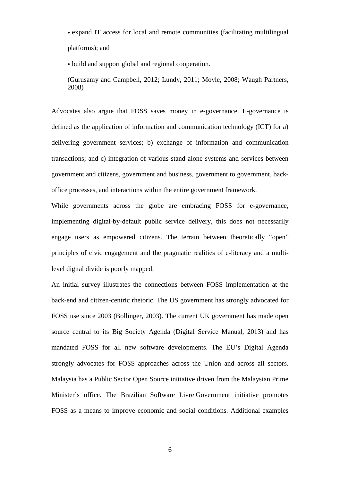• expand IT access for local and remote communities (facilitating multilingual platforms); and

• build and support global and regional cooperation.

(Gurusamy and Campbell, 2012; Lundy, 2011; Moyle, 2008; Waugh Partners, 2008)

Advocates also argue that FOSS saves money in e-governance. E-governance is defined as the application of information and communication technology (ICT) for a) delivering government services; b) exchange of information and communication transactions; and c) integration of various stand-alone systems and services between government and citizens, government and business, government to government, backoffice processes, and interactions within the entire government framework.

While governments across the globe are embracing FOSS for e-governance, implementing digital-by-default public service delivery, this does not necessarily engage users as empowered citizens. The terrain between theoretically "open" principles of civic engagement and the pragmatic realities of e-literacy and a multilevel digital divide is poorly mapped.

An initial survey illustrates the connections between FOSS implementation at the back-end and citizen-centric rhetoric. The US government has strongly advocated for FOSS use since 2003 (Bollinger, 2003). The current UK government has made open source central to its Big Society Agenda (Digital Service Manual, 2013) and has mandated FOSS for all new software developments. The EU's Digital Agenda strongly advocates for FOSS approaches across the Union and across all sectors. Malaysia has a Public Sector Open Source initiative driven from the Malaysian Prime Minister's office. The [Brazilian Software Livre](http://www.softwarelivre.gov.br/) Government initiative promotes FOSS as a means to improve economic and social conditions. Additional examples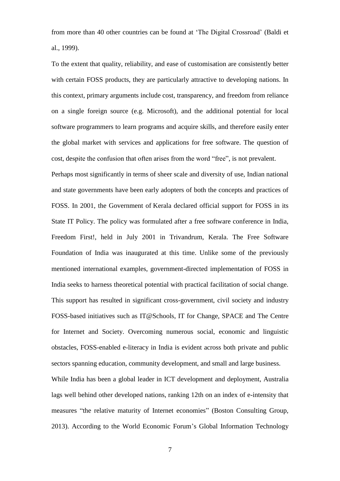from more than 40 other countries can be found at 'The Digital Crossroad' (Baldi et al., 1999).

To the extent that quality, reliability, and ease of customisation are consistently better with certain FOSS products, they are particularly attractive to developing nations. In this context, primary arguments include cost, transparency, and freedom from reliance on a single foreign source (e.g. Microsoft), and the additional potential for local software programmers to learn programs and acquire skills, and therefore easily enter the global market with services and applications for free software. The question of cost, despite the confusion that often arises from the word "free", is not prevalent. Perhaps most significantly in terms of sheer scale and diversity of use, Indian national and state governments have been early adopters of both the concepts and practices of FOSS. In 2001, the Government of [Kerala](http://en.wikipedia.org/wiki/Kerala) declared official support for FOSS in its State IT Policy. The policy was formulated after a free software conference in India, Freedom First!, held in July 2001 in Trivandrum, Kerala. The Free Software Foundation of India was inaugurated at this time. Unlike some of the previously mentioned international examples, government-directed implementation of FOSS in India seeks to harness theoretical potential with practical facilitation of social change. This support has resulted in significant cross-government, civil society and industry FOSS-based initiatives such as IT@Schools, IT for Change, SPACE and The Centre for Internet and Society. Overcoming numerous social, economic and linguistic obstacles, FOSS-enabled e-literacy in India is evident across both private and public sectors spanning education, community development, and small and large business.

While India has been a global leader in ICT development and deployment, Australia lags well behind other developed nations, ranking 12th on an index of e-intensity that measures "the relative maturity of Internet economies" (Boston Consulting Group, 2013). According to the World Economic Forum's Global Information Technology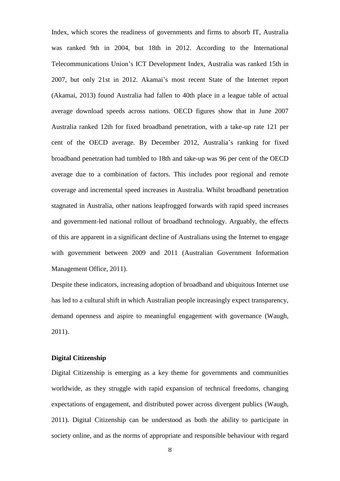Index, which scores the readiness of governments and firms to absorb IT, Australia was ranked 9th in 2004, but 18th in 2012. According to the International Telecommunications Union's ICT Development Index, Australia was ranked 15th in 2007, but only 21st in 2012. Akamai's most recent State of the Internet report (Akamai, 2013) found Australia had fallen to 40th place in a league table of actual average download speeds across nations. OECD figures show that in June 2007 Australia ranked 12th for fixed broadband penetration, with a take-up rate 121 per cent of the OECD average. By December 2012, Australia's ranking for fixed broadband penetration had tumbled to 18th and take-up was 96 per cent of the OECD average due to a combination of factors. This includes poor regional and remote coverage and incremental speed increases in Australia. Whilst broadband penetration stagnated in Australia, other nations leapfrogged forwards with rapid speed increases and government-led national rollout of broadband technology. Arguably, the effects of this are apparent in a significant decline of Australians using the Internet to engage with government between 2009 and 2011 (Australian Government Information Management Office, 2011).

Despite these indicators, increasing adoption of broadband and ubiquitous Internet use has led to a cultural shift in which Australian people increasingly expect transparency, demand openness and aspire to meaningful engagement with governance (Waugh, 2011).

#### **Digital Citizenship**

Digital Citizenship is emerging as a key theme for governments and communities worldwide, as they struggle with rapid expansion of technical freedoms, changing expectations of engagement, and distributed power across divergent publics (Waugh, 2011). Digital Citizenship can be understood as both the ability to participate in society online, and as the norms of appropriate and responsible behaviour with regard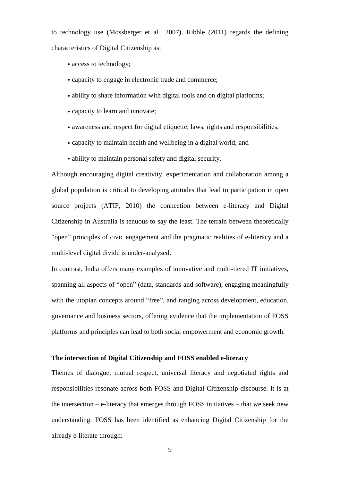to technology use (Mossberger et al., 2007). Ribble (2011) regards the defining characteristics of Digital Citizenship as:

- access to technology;
- capacity to engage in electronic trade and commerce;
- ability to share information with digital tools and on digital platforms;
- capacity to learn and innovate;
- awareness and respect for digital etiquette, laws, rights and responsibilities;
- capacity to maintain health and wellbeing in a digital world; and
- ability to maintain personal safety and digital security.

Although encouraging digital creativity, experimentation and collaboration among a global population is critical to developing attitudes that lead to participation in open source projects (ATIP, 2010) the connection between e-literacy and Digital Citizenship in Australia is tenuous to say the least. The terrain between theoretically "open" principles of civic engagement and the pragmatic realities of e-literacy and a multi-level digital divide is under-analysed.

In contrast, India offers many examples of innovative and multi-tiered IT initiatives, spanning all aspects of "open" (data, standards and software), engaging meaningfully with the utopian concepts around "free", and ranging across development, education, governance and business sectors, offering evidence that the implementation of FOSS platforms and principles can lead to both social empowerment and economic growth.

### **The intersection of Digital Citizenship and FOSS enabled e-literacy**

Themes of dialogue, mutual respect, universal literacy and negotiated rights and responsibilities resonate across both FOSS and Digital Citizenship discourse. It is at the intersection – e-literacy that emerges through FOSS initiatives – that we seek new understanding. FOSS has been identified as enhancing Digital Citizenship for the already e-literate through: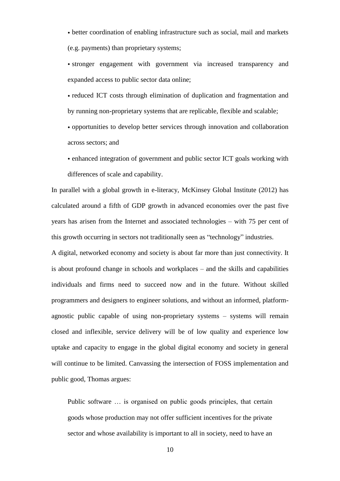• better coordination of enabling infrastructure such as social, mail and markets (e.g. payments) than proprietary systems;

• stronger engagement with government via increased transparency and expanded access to public sector data online;

• reduced ICT costs through elimination of duplication and fragmentation and by running non-proprietary systems that are replicable, flexible and scalable;

• opportunities to develop better services through innovation and collaboration across sectors; and

• enhanced integration of government and public sector ICT goals working with differences of scale and capability.

In parallel with a global growth in e-literacy, McKinsey Global Institute (2012) has calculated around a fifth of GDP growth in advanced economies over the past five years has arisen from the Internet and associated technologies – with 75 per cent of this growth occurring in sectors not traditionally seen as "technology" industries.

A digital, networked economy and society is about far more than just connectivity. It is about profound change in schools and workplaces – and the skills and capabilities individuals and firms need to succeed now and in the future. Without skilled programmers and designers to engineer solutions, and without an informed, platformagnostic public capable of using non-proprietary systems – systems will remain closed and inflexible, service delivery will be of low quality and experience low uptake and capacity to engage in the global digital economy and society in general will continue to be limited. Canvassing the intersection of FOSS implementation and public good, Thomas argues:

Public software … is organised on public goods principles, that certain goods whose production may not offer sufficient incentives for the private sector and whose availability is important to all in society, need to have an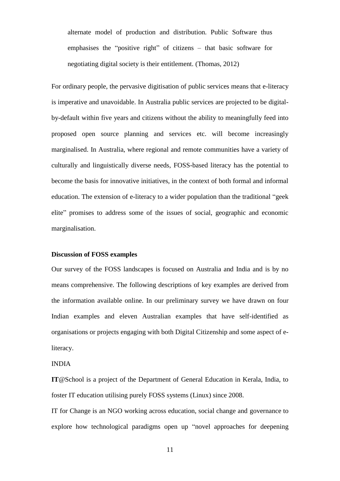alternate model of production and distribution. Public Software thus emphasises the "positive right" of citizens – that basic software for negotiating digital society is their entitlement. (Thomas, 2012)

For ordinary people, the pervasive digitisation of public services means that e-literacy is imperative and unavoidable. In Australia public services are projected to be digitalby-default within five years and citizens without the ability to meaningfully feed into proposed open source planning and services etc. will become increasingly marginalised. In Australia, where regional and remote communities have a variety of culturally and linguistically diverse needs, FOSS-based literacy has the potential to become the basis for innovative initiatives, in the context of both formal and informal education. The extension of e-literacy to a wider population than the traditional "geek elite" promises to address some of the issues of social, geographic and economic marginalisation.

# **Discussion of FOSS examples**

Our survey of the FOSS landscapes is focused on Australia and India and is by no means comprehensive. The following descriptions of key examples are derived from the information available online. In our preliminary survey we have drawn on four Indian examples and eleven Australian examples that have self-identified as organisations or projects engaging with both Digital Citizenship and some aspect of eliteracy.

#### INDIA

**IT**@School is a project of the Department of General Education in Kerala, India, to foster IT education utilising purely FOSS systems (Linux) since 2008.

IT for Change is an NGO working across education, social change and governance to explore how technological paradigms open up "novel approaches for deepening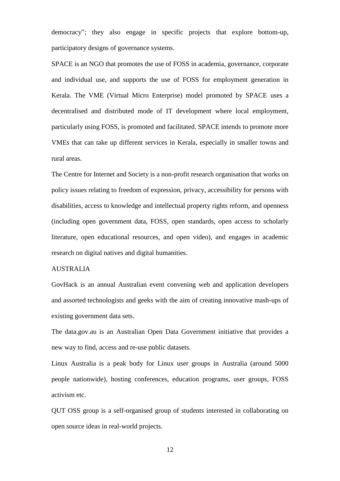democracy"; they also engage in specific projects that explore bottom-up, participatory designs of governance systems.

SPACE is an NGO that promotes the use of FOSS in academia, governance, corporate and individual use, and supports the use of FOSS for employment generation in Kerala. The VME (Virtual Micro Enterprise) model promoted by SPACE uses a decentralised and distributed mode of IT development where local employment, particularly using FOSS, is promoted and facilitated. SPACE intends to promote more VMEs that can take up different services in Kerala, especially in smaller towns and rural areas.

The Centre for Internet and Society is a non-profit research organisation that works on policy issues relating to freedom of expression, privacy, accessibility for persons with disabilities, access to knowledge and intellectual property rights reform, and openness (including open government data, FOSS, open standards, open access to scholarly literature, open educational resources, and open video), and engages in academic research on digital natives and digital humanities.

### AUSTRALIA

GovHack is an annual Australian event convening web and application developers and assorted technologists and geeks with the aim of creating innovative mash-ups of existing government data sets.

The data.gov.au is an Australian Open Data Government initiative that provides a new way to find, access and re-use public datasets.

Linux Australia is a peak body for Linux user groups in Australia (around 5000 people nationwide), hosting conferences, education programs, user groups, FOSS activism etc.

QUT OSS group is a self-organised group of students interested in collaborating on open source ideas in real-world projects.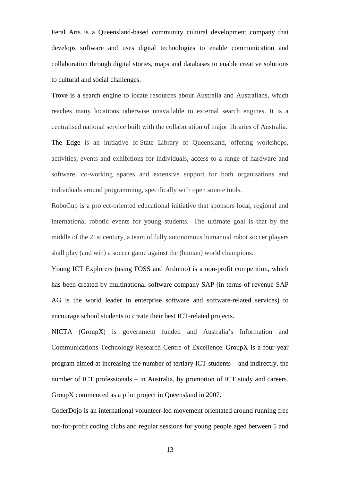Feral Arts is a Queensland-based community cultural development company that develops software and uses digital technologies to enable communication and collaboration through digital stories, maps and databases to enable creative solutions to cultural and social challenges.

Trove is a search engine to locate resources about Australia and Australians, which reaches many locations otherwise unavailable to external search engines. It is a centralised national service built with the collaboration of major libraries of Australia. The Edge is an initiative of State Library of Queensland, offering workshops, activities, events and exhibitions for individuals, access to a range of hardware and software, co-working spaces and extensive support for both organisations and individuals around programming, specifically with open source tools.

RoboCup is a project-oriented educational initiative that sponsors local, regional and international robotic events for young students. The ultimate goal is that by the middle of the 21st century, a team of fully autonomous humanoid robot soccer players shall play (and win) a soccer game against the (human) world champions.

Young ICT Explorers (using FOSS and Arduino) is a non-profit competition, which has been created by multinational software company SAP (in terms of revenue SAP AG is the world leader in enterprise software and software-related services) to encourage school students to create their best ICT-related projects.

NICTA (GroupX) is government funded and Australia's Information and Communications Technology Research Centre of Excellence. GroupX is a four-year program aimed at increasing the number of tertiary ICT students – and indirectly, the number of ICT professionals – in Australia, by promotion of ICT study and careers. GroupX commenced as a pilot project in Queensland in 2007.

CoderDojo is an international volunteer-led movement orientated around running free not-for-profit coding clubs and regular sessions for young people aged between 5 and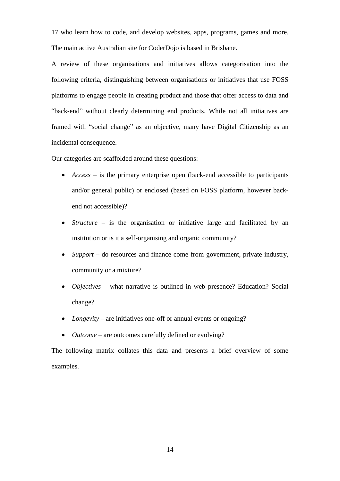17 who learn how to code, and develop websites, apps, programs, games and more. The main active Australian site for CoderDojo is based in Brisbane.

A review of these organisations and initiatives allows categorisation into the following criteria, distinguishing between organisations or initiatives that use FOSS platforms to engage people in creating product and those that offer access to data and "back-end" without clearly determining end products. While not all initiatives are framed with "social change" as an objective, many have Digital Citizenship as an incidental consequence.

Our categories are scaffolded around these questions:

- *Access* is the primary enterprise open (back-end accessible to participants and/or general public) or enclosed (based on FOSS platform, however backend not accessible)?
- *Structure* is the organisation or initiative large and facilitated by an institution or is it a self-organising and organic community?
- *Support* do resources and finance come from government, private industry, community or a mixture?
- *Objectives* what narrative is outlined in web presence? Education? Social change?
- *Longevity* are initiatives one-off or annual events or ongoing?
- *Outcome* are outcomes carefully defined or evolving?

The following matrix collates this data and presents a brief overview of some examples.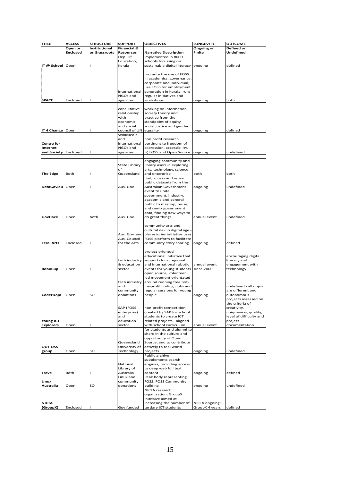| <b>TITLE</b>      | <b>ACCESS</b>   | <b>STRUCTURE</b> | <b>SUPPORT</b>               | <b>OBJECTIVES</b>                                              | <b>LONGEVITY</b> | OUTCOME                                 |
|-------------------|-----------------|------------------|------------------------------|----------------------------------------------------------------|------------------|-----------------------------------------|
|                   | Open or         | Institutional    | Financial &                  |                                                                | Ongoing or       | Defined or                              |
|                   | <b>Enclosed</b> | or Grassroots    | <b>Resources</b>             | <b>Narrative Description</b>                                   | Finite           | Undefined                               |
|                   |                 |                  | Dep. Of                      | implemented in 8000                                            |                  |                                         |
| IT @ School       | Open            |                  | Education,<br>Kerala         | schools focussing on<br>sustainable digital literacy           | ongoing          | defined                                 |
|                   |                 |                  |                              |                                                                |                  |                                         |
|                   |                 |                  |                              | promote the use of FOSS                                        |                  |                                         |
|                   |                 |                  |                              | in academics, governance,                                      |                  |                                         |
|                   |                 |                  |                              | corporate and individual;                                      |                  |                                         |
|                   |                 |                  |                              | use FOSS for employment                                        |                  |                                         |
|                   |                 |                  | international<br>NGOs and    | generation in Kerala; runs<br>regular initiatives and          |                  |                                         |
| <b>SPACE</b>      | Enclosed        |                  | agencies                     | workshops                                                      | ongoing          | both                                    |
|                   |                 |                  |                              |                                                                |                  |                                         |
|                   |                 |                  | consultative                 | working on information                                         |                  |                                         |
|                   |                 |                  | relationship                 | society theory and                                             |                  |                                         |
|                   |                 |                  | with<br>economic             | practice from the<br>standpoint of equity,                     |                  |                                         |
|                   |                 |                  | and social                   | social justice and gender                                      |                  |                                         |
| IT 4 Change       | Open            |                  | council of UN                | equality                                                       | ongoing          | defined                                 |
|                   |                 |                  | WikiMedia                    |                                                                |                  |                                         |
|                   |                 |                  | and                          | non profit research                                            |                  |                                         |
| <b>Centre for</b> |                 |                  | international                | pertinent to freedom of                                        |                  |                                         |
| Internet          |                 |                  | NGOs and                     | expression, accessibility,<br>IP, FOSS and Open Source         |                  |                                         |
| and Society       | Enclosed        |                  | agencies                     |                                                                | ongoing          | undefined                               |
|                   |                 |                  |                              | engaging community and                                         |                  |                                         |
|                   |                 |                  | State Library                | library users in exploring                                     |                  |                                         |
|                   |                 |                  | of                           | arts, technology, science                                      |                  |                                         |
| The Edge          | Both            |                  | Queensland                   | and enterprise                                                 | both             | both                                    |
|                   |                 |                  |                              | find, access and reuse<br>public datasets from the             |                  |                                         |
| DataGov.au        | Open            |                  | Aus. Gov.                    | Australian Government                                          | ongoing          | undefined                               |
|                   |                 |                  |                              | event to unite                                                 |                  |                                         |
|                   |                 |                  |                              | government, industry,                                          |                  |                                         |
|                   |                 |                  |                              | academia and general                                           |                  |                                         |
|                   |                 |                  |                              | public to mashup, reuse,                                       |                  |                                         |
|                   |                 |                  |                              | and remix government                                           |                  |                                         |
| GovHack           | Open            | both             | Aus. Gov.                    | data, finding new ways to<br>do great things                   | annual event     | undefined                               |
|                   |                 |                  |                              |                                                                |                  |                                         |
|                   |                 |                  |                              | community arts and                                             |                  |                                         |
|                   |                 |                  |                              | cultural dev in digital age -                                  |                  |                                         |
|                   |                 |                  | Aus. Gov. and                | placestories initiative uses                                   |                  |                                         |
| <b>Feral Arts</b> | Enclosed        |                  | Aus. Council<br>for the Arts | FOSS platform to facilitate<br>community story sharing         | ongoing          | defined                                 |
|                   |                 |                  |                              |                                                                |                  |                                         |
|                   |                 |                  |                              | project-oriented                                               |                  |                                         |
|                   |                 |                  |                              | educational initiative that                                    |                  | encouraging digital                     |
|                   |                 |                  | tech industry                | supports local, regional                                       |                  | literacy and                            |
|                   |                 |                  | & education                  | and international robotic                                      | annual event     | engagement with                         |
| RoboCup           | Open            |                  | sector                       | events for young students since 2000<br>open source, volunteer |                  | technology                              |
|                   |                 |                  |                              | led movement orientated                                        |                  |                                         |
|                   |                 |                  | tech industry                | around running free not-                                       |                  |                                         |
|                   |                 |                  | and                          | for-profit coding clubs and                                    |                  | undefined - all dojos                   |
|                   |                 |                  | community                    | regular sessions for young                                     |                  | are different and                       |
| CoderDojo         | Open            | SO               | donations                    | people                                                         | ongoing          | autonomous                              |
|                   |                 |                  |                              |                                                                |                  | projects assessed on<br>the criteria of |
|                   |                 |                  | SAP (FOSS                    | non-profit competition,                                        |                  | creativity,                             |
|                   |                 |                  | enterprise)                  | created by SAP for school                                      |                  | uniqueness, quality,                    |
|                   |                 |                  | and                          | students to create ICT                                         |                  | level of difficulty and                 |
| Young ICT         |                 |                  | education                    | related projects - aligned                                     |                  | project                                 |
| <b>Explorers</b>  | Open            |                  | sector                       | with school curriculum<br>for students and alumni to           | annual event     | documentation                           |
|                   |                 |                  |                              | share in the culture and                                       |                  |                                         |
|                   |                 |                  |                              | opportunity of Open                                            |                  |                                         |
|                   |                 |                  | Queensland                   | Source, and to contribute                                      |                  |                                         |
| <b>QUT OSS</b>    |                 |                  | Univeristy of                | actively to real world                                         |                  |                                         |
| group             | Open            | SO               | Technology                   | projects.                                                      | ongoing          | undefined                               |
|                   |                 |                  |                              | Public archive -                                               |                  |                                         |
|                   |                 |                  | National                     | supplements search<br>engines, providing access                |                  |                                         |
|                   |                 |                  | Library of                   | to deep web full text                                          |                  |                                         |
| Trove             | Both            |                  | Australia                    | content                                                        | ongoing          | defined                                 |
|                   |                 |                  | Linux and                    | Peak body representing                                         |                  |                                         |
| Linux             |                 |                  | community                    | FOSS, FOSS Community                                           |                  |                                         |
| Australia         | Open            | SO               | donations                    | building                                                       | ongoing          | undefined                               |
|                   |                 |                  |                              | NICTA research<br>organisation; GroupX                         |                  |                                         |
|                   |                 |                  |                              | inititaive aimed at                                            |                  |                                         |
| <b>NICTA</b>      |                 |                  |                              | increasing the number of                                       | NICTA ongoing;   |                                         |
| (GroupX)          | Enclosed        |                  | Gov funded                   | tertiary ICT students                                          | GroupX 4 years   | defined                                 |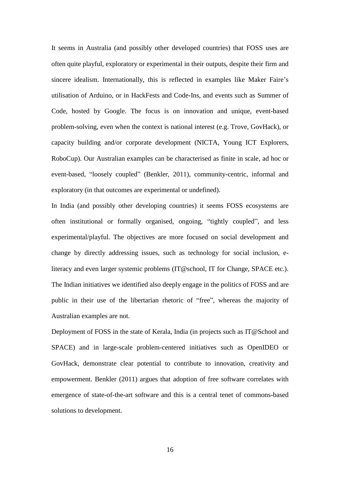It seems in Australia (and possibly other developed countries) that FOSS uses are often quite playful, exploratory or experimental in their outputs, despite their firm and sincere idealism. Internationally, this is reflected in examples like Maker Faire's utilisation of Arduino, or in HackFests and Code-Ins, and events such as Summer of Code, hosted by Google. The focus is on innovation and unique, event-based problem-solving, even when the context is national interest (e.g. Trove, GovHack), or capacity building and/or corporate development (NICTA, Young ICT Explorers, RoboCup). Our Australian examples can be characterised as finite in scale, ad hoc or event-based, "loosely coupled" (Benkler, 2011), community-centric, informal and exploratory (in that outcomes are experimental or undefined).

In India (and possibly other developing countries) it seems FOSS ecosystems are often institutional or formally organised, ongoing, "tightly coupled", and less experimental/playful. The objectives are more focused on social development and change by directly addressing issues, such as technology for social inclusion, eliteracy and even larger systemic problems (IT@school, IT for Change, SPACE etc.). The Indian initiatives we identified also deeply engage in the politics of FOSS and are public in their use of the libertarian rhetoric of "free", whereas the majority of Australian examples are not.

Deployment of FOSS in the state of Kerala, India (in projects such as IT@School and SPACE) and in large-scale problem-centered initiatives such as OpenIDEO or GovHack, demonstrate clear potential to contribute to innovation, creativity and empowerment. Benkler (2011) argues that adoption of free software correlates with emergence of state-of-the-art software and this is a central tenet of commons-based solutions to development.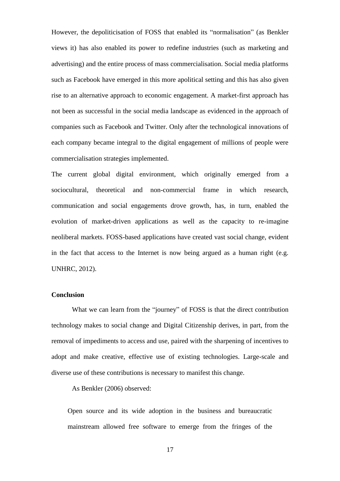However, the depoliticisation of FOSS that enabled its "normalisation" (as Benkler views it) has also enabled its power to redefine industries (such as marketing and advertising) and the entire process of mass commercialisation. Social media platforms such as Facebook have emerged in this more apolitical setting and this has also given rise to an alternative approach to economic engagement. A market-first approach has not been as successful in the social media landscape as evidenced in the approach of companies such as Facebook and Twitter. Only after the technological innovations of each company became integral to the digital engagement of millions of people were commercialisation strategies implemented.

The current global digital environment, which originally emerged from a sociocultural, theoretical and non-commercial frame in which research, communication and social engagements drove growth, has, in turn, enabled the evolution of market-driven applications as well as the capacity to re-imagine neoliberal markets. FOSS-based applications have created vast social change, evident in the fact that access to the Internet is now being argued as a human right (e.g. UNHRC, 2012).

#### **Conclusion**

What we can learn from the "journey" of FOSS is that the direct contribution technology makes to social change and Digital Citizenship derives, in part, from the removal of impediments to access and use, paired with the sharpening of incentives to adopt and make creative, effective use of existing technologies. Large-scale and diverse use of these contributions is necessary to manifest this change.

As Benkler (2006) observed:

Open source and its wide adoption in the business and bureaucratic mainstream allowed free software to emerge from the fringes of the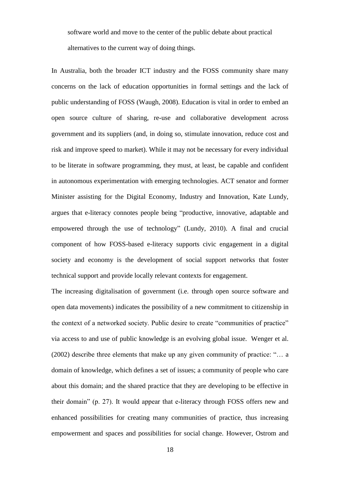software world and move to the center of the public debate about practical alternatives to the current way of doing things.

In Australia, both the broader ICT industry and the FOSS community share many concerns on the lack of education opportunities in formal settings and the lack of public understanding of FOSS (Waugh, 2008). Education is vital in order to embed an open source culture of sharing, re-use and collaborative development across government and its suppliers (and, in doing so, stimulate innovation, reduce cost and risk and improve speed to market). While it may not be necessary for every individual to be literate in software programming, they must, at least, be capable and confident in autonomous experimentation with emerging technologies. ACT senator and former Minister assisting for the Digital Economy, Industry and Innovation, Kate Lundy, argues that e-literacy connotes people being "productive, innovative, adaptable and empowered through the use of technology" (Lundy, 2010). A final and crucial component of how FOSS-based e-literacy supports civic engagement in a digital society and economy is the development of social support networks that foster technical support and provide locally relevant contexts for engagement.

The increasing digitalisation of government (i.e. through open source software and open data movements) indicates the possibility of a new commitment to citizenship in the context of a networked society. Public desire to create "communities of practice" via access to and use of public knowledge is an evolving global issue. Wenger et al. (2002) describe three elements that make up any given community of practice: "… a domain of knowledge, which defines a set of issues; a community of people who care about this domain; and the shared practice that they are developing to be effective in their domain" (p. 27). It would appear that e-literacy through FOSS offers new and enhanced possibilities for creating many communities of practice, thus increasing empowerment and spaces and possibilities for social change. However, Ostrom and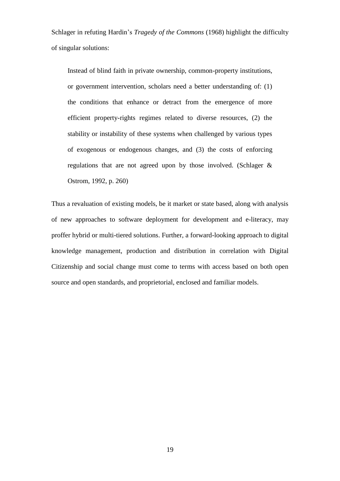Schlager in refuting Hardin's *Tragedy of the Commons* (1968) highlight the difficulty of singular solutions:

Instead of blind faith in private ownership, common-property institutions, or government intervention, scholars need a better understanding of: (1) the conditions that enhance or detract from the emergence of more efficient property-rights regimes related to diverse resources, (2) the stability or instability of these systems when challenged by various types of exogenous or endogenous changes, and (3) the costs of enforcing regulations that are not agreed upon by those involved. (Schlager & Ostrom, 1992, p. 260)

Thus a revaluation of existing models, be it market or state based, along with analysis of new approaches to software deployment for development and e-literacy, may proffer hybrid or multi-tiered solutions. Further, a forward-looking approach to digital knowledge management, production and distribution in correlation with Digital Citizenship and social change must come to terms with access based on both open source and open standards, and proprietorial, enclosed and familiar models.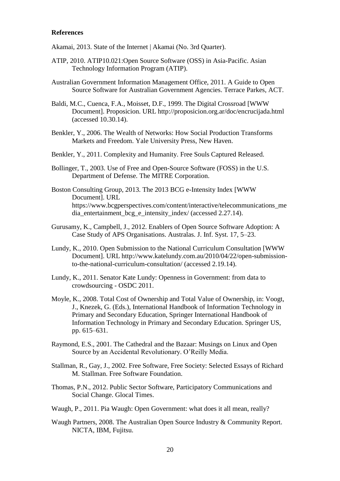#### **References**

- Akamai, 2013. State of the Internet | Akamai (No. 3rd Quarter).
- ATIP, 2010. ATIP10.021:Open Source Software (OSS) in Asia-Pacific. Asian Technology Information Program (ATIP).
- Australian Government Information Management Office, 2011. A Guide to Open Source Software for Australian Government Agencies. Terrace Parkes, ACT.
- Baldi, M.C., Cuenca, F.A., Moisset, D.F., 1999. The Digital Crossroad [WWW Document]. Proposicion. URL http://proposicion.org.ar/doc/encrucijada.html (accessed 10.30.14).
- Benkler, Y., 2006. The Wealth of Networks: How Social Production Transforms Markets and Freedom. Yale University Press, New Haven.
- Benkler, Y., 2011. Complexity and Humanity. Free Souls Captured Released.
- Bollinger, T., 2003. Use of Free and Open-Source Software (FOSS) in the U.S. Department of Defense. The MITRE Corporation.
- Boston Consulting Group, 2013. The 2013 BCG e-Intensity Index [WWW Document]. URL https://www.bcgperspectives.com/content/interactive/telecommunications\_me dia\_entertainment\_bcg\_e\_intensity\_index/ (accessed 2.27.14).
- Gurusamy, K., Campbell, J., 2012. Enablers of Open Source Software Adoption: A Case Study of APS Organisations. Australas. J. Inf. Syst. 17, 5–23.
- Lundy, K., 2010. Open Submission to the National Curriculum Consultation [WWW Document]. URL http://www.katelundy.com.au/2010/04/22/open-submissionto-the-national-curriculum-consultation/ (accessed 2.19.14).
- Lundy, K., 2011. Senator Kate Lundy: Openness in Government: from data to crowdsourcing - OSDC 2011.
- Moyle, K., 2008. Total Cost of Ownership and Total Value of Ownership, in: Voogt, J., Knezek, G. (Eds.), International Handbook of Information Technology in Primary and Secondary Education, Springer International Handbook of Information Technology in Primary and Secondary Education. Springer US, pp. 615–631.
- Raymond, E.S., 2001. The Cathedral and the Bazaar: Musings on Linux and Open Source by an Accidental Revolutionary. O'Reilly Media.
- Stallman, R., Gay, J., 2002. Free Software, Free Society: Selected Essays of Richard M. Stallman. Free Software Foundation.
- Thomas, P.N., 2012. Public Sector Software, Participatory Communications and Social Change. Glocal Times.
- Waugh, P., 2011. Pia Waugh: Open Government: what does it all mean, really?
- Waugh Partners, 2008. The Australian Open Source Industry & Community Report. NICTA, IBM, Fujitsu.